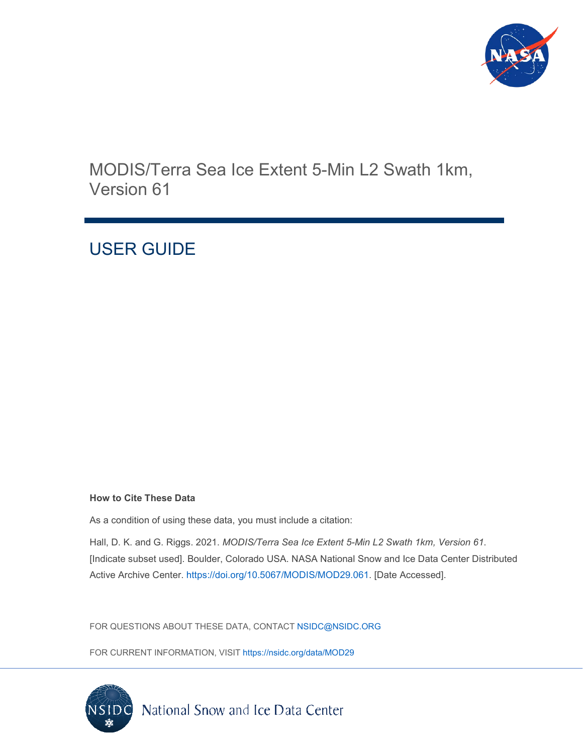

MODIS/Terra Sea Ice Extent 5-Min L2 Swath 1km, Version 61

# USER GUIDE

#### **How to Cite These Data**

As a condition of using these data, you must include a citation:

Hall, D. K. and G. Riggs. 2021. *MODIS/Terra Sea Ice Extent 5-Min L2 Swath 1km, Version 61*. [Indicate subset used]. Boulder, Colorado USA. NASA National Snow and Ice Data Center Distributed Active Archive Center. [https://doi.org/10.5067/MODIS/MOD29.061.](https://doi.org/10.5067/MODIS/MOD29.061) [Date Accessed].

FOR QUESTIONS ABOUT THESE DATA, CONTACT [NSIDC@NSIDC.ORG](mailto:nsidc@nsidc.org)

FOR CURRENT INFORMATION, VISIT<https://nsidc.org/data/MOD29>

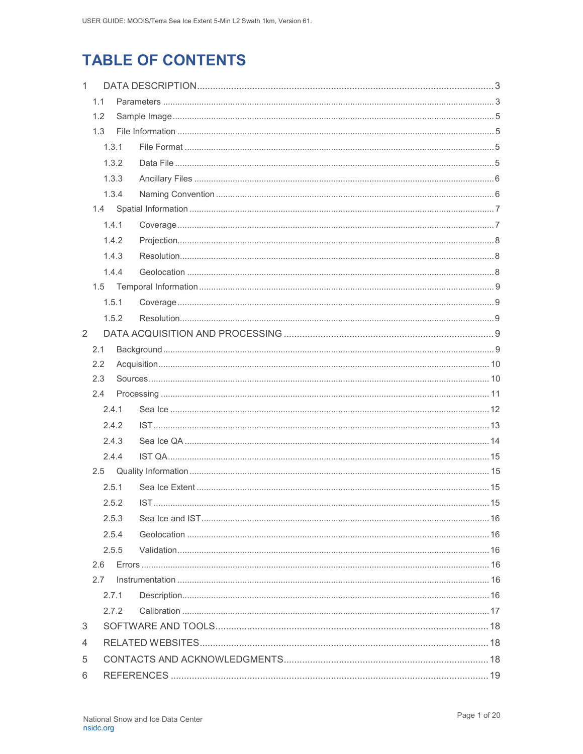# **TABLE OF CONTENTS**

| $\mathbf{1}$ |       |       |  |  |
|--------------|-------|-------|--|--|
|              | 1.1   |       |  |  |
| 1.2          |       |       |  |  |
|              | 1.3   |       |  |  |
|              |       | 1.3.1 |  |  |
|              |       | 1.3.2 |  |  |
|              |       | 1.3.3 |  |  |
|              |       | 1.3.4 |  |  |
|              |       |       |  |  |
|              |       | 1.4.1 |  |  |
|              |       | 1.4.2 |  |  |
|              |       | 1.4.3 |  |  |
|              |       | 1.4.4 |  |  |
|              | 1.5   |       |  |  |
|              |       | 1.5.1 |  |  |
|              |       | 1.5.2 |  |  |
| 2            |       |       |  |  |
|              | 2.1   |       |  |  |
|              | 2.2   |       |  |  |
|              | 2.3   |       |  |  |
|              | 2.4   |       |  |  |
|              |       | 2.4.1 |  |  |
|              |       | 2.4.2 |  |  |
|              |       | 2.4.3 |  |  |
|              |       | 2.4.4 |  |  |
|              | 2.5   |       |  |  |
|              |       | 2.5.1 |  |  |
|              | 2.5.2 |       |  |  |
|              | 2.5.3 |       |  |  |
|              | 2.5.4 |       |  |  |
|              |       | 2.5.5 |  |  |
|              | 2.6   |       |  |  |
|              | 2.7   |       |  |  |
|              |       | 2.7.1 |  |  |
|              |       | 2.7.2 |  |  |
| 3            |       |       |  |  |
| 4            |       |       |  |  |
| 5            |       |       |  |  |
| 6            |       |       |  |  |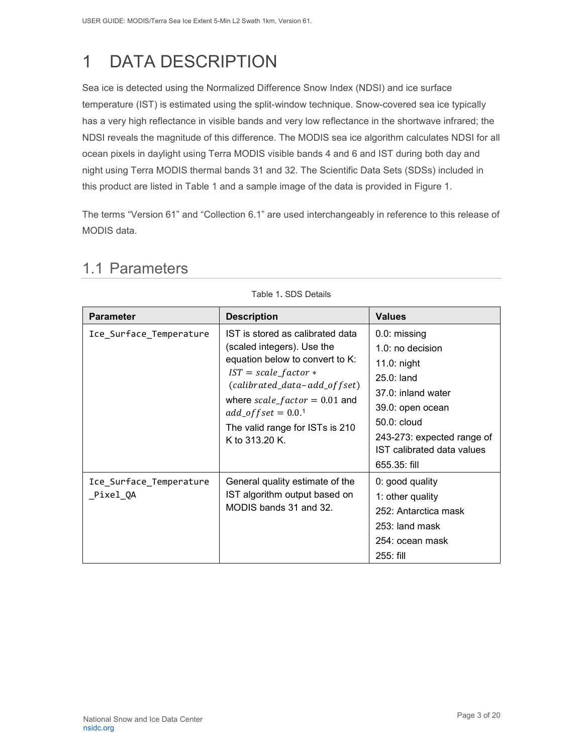# <span id="page-3-0"></span>1 DATA DESCRIPTION

Sea ice is detected using the Normalized Difference Snow Index (NDSI) and ice surface temperature (IST) is estimated using the split-window technique. Snow-covered sea ice typically has a very high reflectance in visible bands and very low reflectance in the shortwave infrared; the NDSI reveals the magnitude of this difference. The MODIS sea ice algorithm calculates NDSI for all ocean pixels in daylight using Terra MODIS visible bands 4 and 6 and IST during both day and night using Terra MODIS thermal bands 31 and 32. The Scientific Data Sets (SDSs) included in this product are listed in Table 1 and a sample image of the data is provided in Figure 1.

<span id="page-3-1"></span>The terms "Version 61" and "Collection 6.1" are used interchangeably in reference to this release of MODIS data.

| <b>Parameter</b>                    | <b>Description</b>                                                                                                                                                                                                                                                                      | <b>Values</b>                                                                                                                                                                                            |
|-------------------------------------|-----------------------------------------------------------------------------------------------------------------------------------------------------------------------------------------------------------------------------------------------------------------------------------------|----------------------------------------------------------------------------------------------------------------------------------------------------------------------------------------------------------|
| Ice_Surface_Temperature             | IST is stored as calibrated data<br>(scaled integers). Use the<br>equation below to convert to K:<br>$IST = scale_factor *$<br>(calibrated_data-add_offset)<br>where $scale_factor = 0.01$ and<br>$add\_offset = 0.0$ <sup>1</sup><br>The valid range for ISTs is 210<br>K to 313.20 K. | 0.0: missing<br>$1.0:$ no decision<br>$11.0:$ night<br>$25.0:$ land<br>37.0: inland water<br>39.0: open ocean<br>50.0: cloud<br>243-273: expected range of<br>IST calibrated data values<br>655.35: fill |
| Ice_Surface_Temperature<br>Pixel QA | General quality estimate of the<br>IST algorithm output based on<br>MODIS bands 31 and 32.                                                                                                                                                                                              | 0: good quality<br>1: other quality<br>252: Antarctica mask<br>253: land mask<br>254: ocean mask<br>255: fill                                                                                            |

### 1.1 Parameters

Table 1**.** SDS Details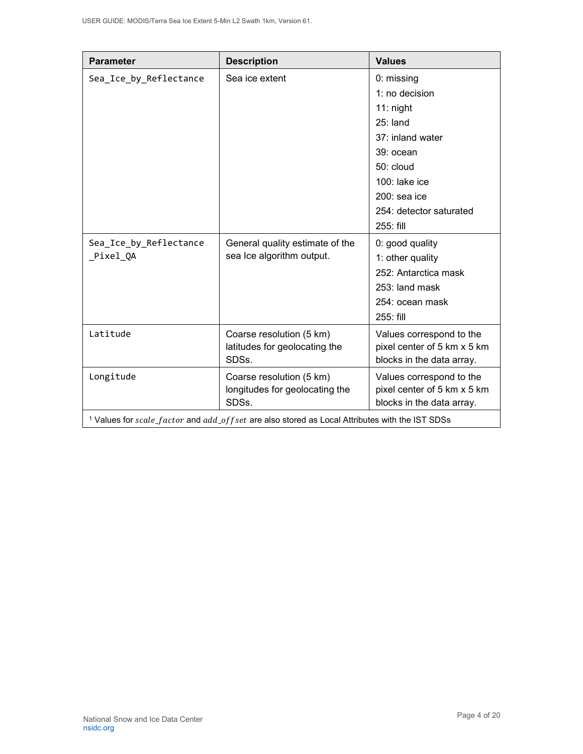| <b>Parameter</b>                                                                                           | <b>Description</b>                                                 | <b>Values</b>                                                                        |  |
|------------------------------------------------------------------------------------------------------------|--------------------------------------------------------------------|--------------------------------------------------------------------------------------|--|
| Sea_Ice_by_Reflectance                                                                                     | Sea ice extent                                                     | 0: missing                                                                           |  |
|                                                                                                            |                                                                    | 1: no decision                                                                       |  |
|                                                                                                            |                                                                    | $11:$ night                                                                          |  |
|                                                                                                            |                                                                    | $25:$ land                                                                           |  |
|                                                                                                            |                                                                    | 37: inland water                                                                     |  |
|                                                                                                            |                                                                    | 39: ocean                                                                            |  |
|                                                                                                            |                                                                    | 50: cloud                                                                            |  |
|                                                                                                            |                                                                    | 100: lake ice                                                                        |  |
|                                                                                                            |                                                                    | 200: sea ice                                                                         |  |
|                                                                                                            |                                                                    | 254: detector saturated                                                              |  |
|                                                                                                            |                                                                    | 255: fill                                                                            |  |
| Sea_Ice_by_Reflectance                                                                                     | General quality estimate of the                                    | 0: good quality                                                                      |  |
| _Pixel_QA                                                                                                  | sea Ice algorithm output.                                          | 1: other quality                                                                     |  |
|                                                                                                            |                                                                    | 252: Antarctica mask                                                                 |  |
|                                                                                                            |                                                                    | 253: land mask                                                                       |  |
|                                                                                                            |                                                                    | 254: ocean mask                                                                      |  |
|                                                                                                            |                                                                    | 255: fill                                                                            |  |
| Latitude                                                                                                   | Coarse resolution (5 km)<br>latitudes for geolocating the<br>SDSs. | Values correspond to the<br>pixel center of 5 km x 5 km<br>blocks in the data array. |  |
| Longitude                                                                                                  | Coarse resolution (5 km)                                           | Values correspond to the                                                             |  |
|                                                                                                            | longitudes for geolocating the<br>SDSs.                            | pixel center of 5 km x 5 km<br>blocks in the data array.                             |  |
| <sup>1</sup> Values for scale_factor and add_of fset are also stored as Local Attributes with the IST SDSs |                                                                    |                                                                                      |  |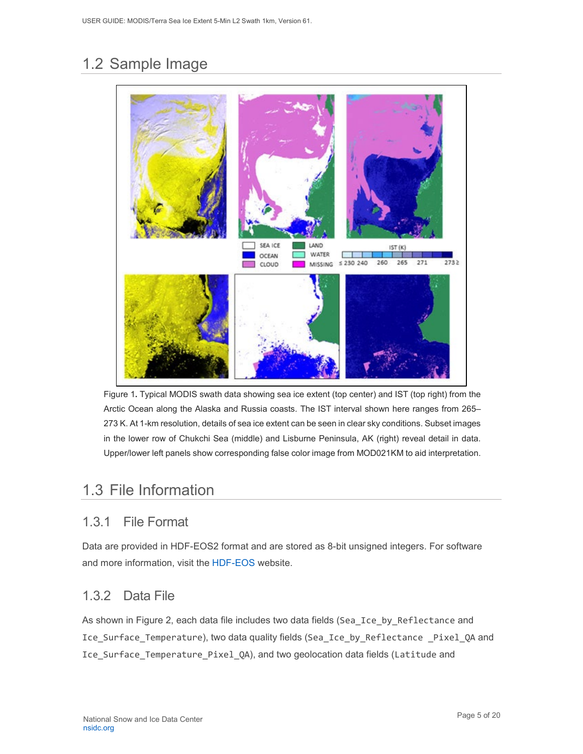# <span id="page-5-0"></span>1.2 Sample Image



Figure 1**.** Typical MODIS swath data showing sea ice extent (top center) and IST (top right) from the Arctic Ocean along the Alaska and Russia coasts. The IST interval shown here ranges from 265– 273 K. At 1-km resolution, details of sea ice extent can be seen in clear sky conditions. Subset images in the lower row of Chukchi Sea (middle) and Lisburne Peninsula, AK (right) reveal detail in data. Upper/lower left panels show corresponding false color image from MOD021KM to aid interpretation.

# <span id="page-5-1"></span>1.3 File Information

### <span id="page-5-2"></span>1.3.1 File Format

Data are provided in HDF-EOS2 format and are stored as 8-bit unsigned integers. For software and more information, visit the [HDF-EOS](https://portal.hdfgroup.org/display/support) website.

### <span id="page-5-3"></span>1.3.2 Data File

As shown in Figure 2, each data file includes two data fields (Sea\_Ice\_by\_Reflectance and Ice Surface Temperature), two data quality fields (Sea Ice by Reflectance Pixel QA and Ice\_Surface\_Temperature\_Pixel\_QA), and two geolocation data fields (Latitude and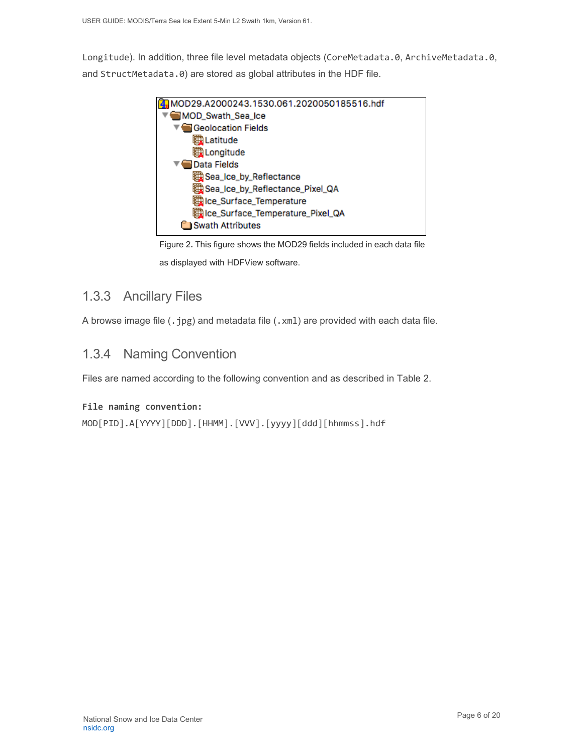Longitude). In addition, three file level metadata objects (CoreMetadata.0, ArchiveMetadata.0, and StructMetadata.0) are stored as global attributes in the HDF file.



Figure 2**.** This figure shows the MOD29 fields included in each data file as displayed with HDFView software.

### <span id="page-6-0"></span>1.3.3 Ancillary Files

A browse image file (.jpg) and metadata file (.xml) are provided with each data file.

### <span id="page-6-1"></span>1.3.4 Naming Convention

Files are named according to the following convention and as described in Table 2.

#### **File naming convention:**

```
MOD[PID].A[YYYY][DDD].[HHMM].[VVV].[yyyy][ddd][hhmmss].hdf
```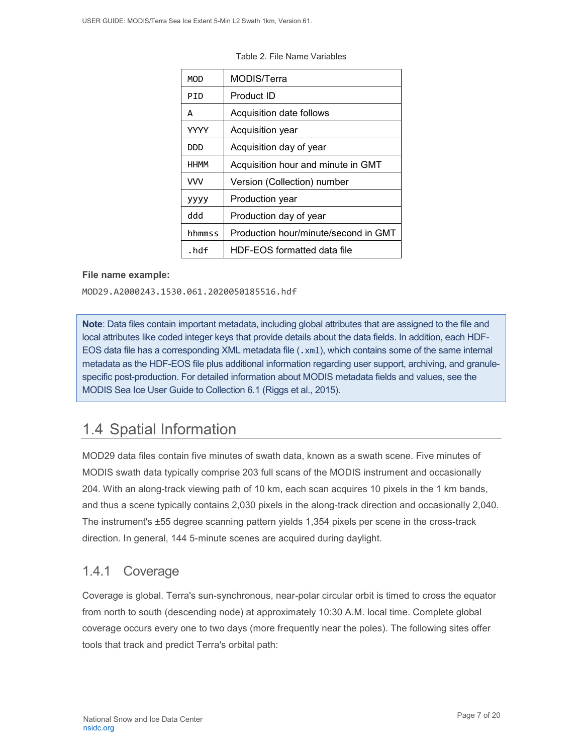| MOD         | MODIS/Terra                          |
|-------------|--------------------------------------|
| PTD         | Product ID                           |
| A           | Acquisition date follows             |
| YYYY        | Acquisition year                     |
| סמם         | Acquisition day of year              |
| <b>HHMM</b> | Acquisition hour and minute in GMT   |
| <b>VVV</b>  | Version (Collection) number          |
| уууу        | Production year                      |
| hbb         | Production day of year               |
| hhmmss      | Production hour/minute/second in GMT |
| .hdf        | HDF-EOS formatted data file          |

Table 2. File Name Variables

#### **File name example:**

MOD29.A2000243.1530.061.2020050185516.hdf

**Note**: Data files contain important metadata, including global attributes that are assigned to the file and local attributes like coded integer keys that provide details about the data fields. In addition, each HDF-EOS data file has a corresponding XML metadata file (.xml), which contains some of the same internal metadata as the HDF-EOS file plus additional information regarding user support, archiving, and granulespecific post-production. For detailed information about MODIS metadata fields and values, see the MODIS Sea Ice User Guide to Collection 6.1 (Riggs et al., 2015).

## <span id="page-7-0"></span>1.4 Spatial Information

MOD29 data files contain five minutes of swath data, known as a swath scene. Five minutes of MODIS swath data typically comprise 203 full scans of the MODIS instrument and occasionally 204. With an along-track viewing path of 10 km, each scan acquires 10 pixels in the 1 km bands, and thus a scene typically contains 2,030 pixels in the along-track direction and occasionally 2,040. The instrument's ±55 degree scanning pattern yields 1,354 pixels per scene in the cross-track direction. In general, 144 5-minute scenes are acquired during daylight.

### <span id="page-7-1"></span>1.4.1 Coverage

Coverage is global. Terra's sun-synchronous, near-polar circular orbit is timed to cross the equator from north to south (descending node) at approximately 10:30 A.M. local time. Complete global coverage occurs every one to two days (more frequently near the poles). The following sites offer tools that track and predict Terra's orbital path: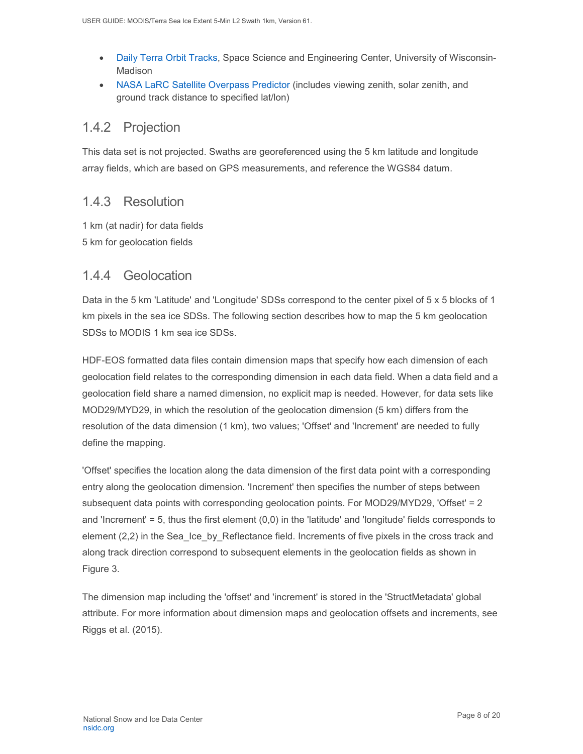- [Daily Terra Orbit Tracks,](http://www.ssec.wisc.edu/datacenter/terra/GLOBAL.html) Space Science and Engineering Center, University of Wisconsin-Madison
- [NASA LaRC Satellite Overpass Predictor](https://cloudsgate2.larc.nasa.gov/cgi-bin/predict/predict.cgi) (includes viewing zenith, solar zenith, and ground track distance to specified lat/lon)

#### <span id="page-8-0"></span>1.4.2 Projection

This data set is not projected. Swaths are georeferenced using the 5 km latitude and longitude array fields, which are based on GPS measurements, and reference the WGS84 datum.

#### <span id="page-8-1"></span>1.4.3 Resolution

1 km (at nadir) for data fields 5 km for geolocation fields

#### <span id="page-8-2"></span>1.4.4 Geolocation

Data in the 5 km 'Latitude' and 'Longitude' SDSs correspond to the center pixel of 5 x 5 blocks of 1 km pixels in the sea ice SDSs. The following section describes how to map the 5 km geolocation SDSs to MODIS 1 km sea ice SDSs.

HDF-EOS formatted data files contain dimension maps that specify how each dimension of each geolocation field relates to the corresponding dimension in each data field. When a data field and a geolocation field share a named dimension, no explicit map is needed. However, for data sets like MOD29/MYD29, in which the resolution of the geolocation dimension (5 km) differs from the resolution of the data dimension (1 km), two values; 'Offset' and 'Increment' are needed to fully define the mapping.

'Offset' specifies the location along the data dimension of the first data point with a corresponding entry along the geolocation dimension. 'Increment' then specifies the number of steps between subsequent data points with corresponding geolocation points. For MOD29/MYD29, 'Offset' = 2 and 'Increment'  $= 5$ , thus the first element  $(0,0)$  in the 'latitude' and 'longitude' fields corresponds to element (2,2) in the Sea Ice by Reflectance field. Increments of five pixels in the cross track and along track direction correspond to subsequent elements in the geolocation fields as shown in Figure 3.

The dimension map including the 'offset' and 'increment' is stored in the 'StructMetadata' global attribute. For more information about dimension maps and geolocation offsets and increments, see Riggs et al. (2015).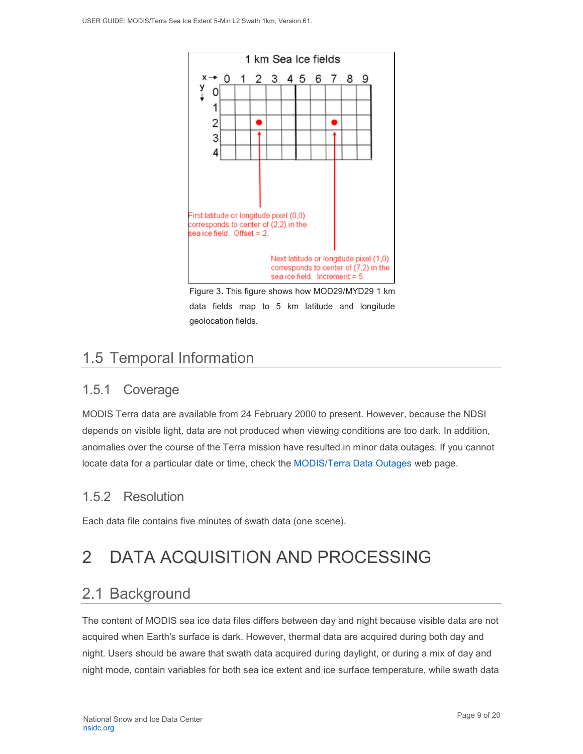

Figure 3**.** This figure shows how MOD29/MYD29 1 km data fields map to 5 km latitude and longitude geolocation fields.

# <span id="page-9-0"></span>1.5 Temporal Information

### <span id="page-9-1"></span>1.5.1 Coverage

MODIS Terra data are available from 24 February 2000 to present. However, because the NDSI depends on visible light, data are not produced when viewing conditions are too dark. In addition, anomalies over the course of the Terra mission have resulted in minor data outages. If you cannot locate data for a particular date or time, check the [MODIS/Terra Data Outages](http://modaps.nascom.nasa.gov/services/production/outages_terra.html) web page.

### <span id="page-9-2"></span>1.5.2 Resolution

Each data file contains five minutes of swath data (one scene).

# <span id="page-9-3"></span>2 DATA ACQUISITION AND PROCESSING

# <span id="page-9-4"></span>2.1 Background

The content of MODIS sea ice data files differs between day and night because visible data are not acquired when Earth's surface is dark. However, thermal data are acquired during both day and night. Users should be aware that swath data acquired during daylight, or during a mix of day and night mode, contain variables for both sea ice extent and ice surface temperature, while swath data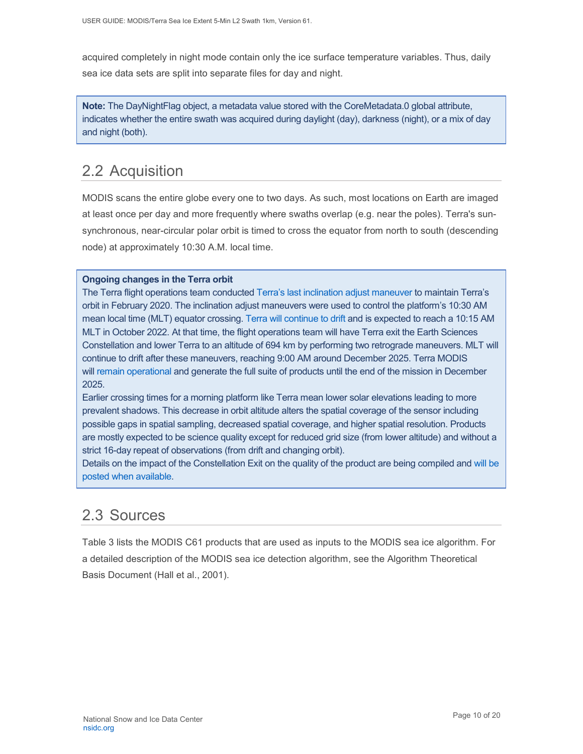acquired completely in night mode contain only the ice surface temperature variables. Thus, daily sea ice data sets are split into separate files for day and night.

**Note:** The DayNightFlag object, a metadata value stored with the CoreMetadata.0 global attribute, indicates whether the entire swath was acquired during daylight (day), darkness (night), or a mix of day and night (both).

# <span id="page-10-0"></span>2.2 Acquisition

MODIS scans the entire globe every one to two days. As such, most locations on Earth are imaged at least once per day and more frequently where swaths overlap (e.g. near the poles). Terra's sunsynchronous, near-circular polar orbit is timed to cross the equator from north to south (descending node) at approximately 10:30 A.M. local time.

#### **Ongoing changes in the Terra orbit**

The Terra flight operations team conducted [Terra's last inclination adjust maneuver](https://terra.nasa.gov/about/terra-orbital-drift) to maintain Terra's orbit in February 2020. The inclination adjust maneuvers were used to control the platform's 10:30 AM mean local time (MLT) equator crossing. [Terra will continue to drift](https://modis.gsfc.nasa.gov/news/individual.php?news_id=100378) and is expected to reach a 10:15 AM MLT in October 2022. At that time, the flight operations team will have Terra exit the Earth Sciences Constellation and lower Terra to an altitude of 694 km by performing two retrograde maneuvers. MLT will continue to drift after these maneuvers, reaching 9:00 AM around December 2025. Terra MODIS will [remain operational](https://landweb.modaps.eosdis.nasa.gov/cgi-bin/QA_WWW/displayCase.cgi?esdt=MOD&caseNum=PM_MOD_21264&caseLocation=cases_data&type=C6&_ga=2.237971648.1728476934.1634939670-1813231108.1634939670) and generate the full suite of products until the end of the mission in December 2025.

Earlier crossing times for a morning platform like Terra mean lower solar elevations leading to more prevalent shadows. This decrease in orbit altitude alters the spatial coverage of the sensor including possible gaps in spatial sampling, decreased spatial coverage, and higher spatial resolution. Products are mostly expected to be science quality except for reduced grid size (from lower altitude) and without a strict 16-day repeat of observations (from drift and changing orbit).

Details on the impact of the Constellation Exit on the quality of the product are being compiled and [will be](https://landweb.modaps.eosdis.nasa.gov/cgi-bin/QS/new/index.cgi)  [posted when available.](https://landweb.modaps.eosdis.nasa.gov/cgi-bin/QS/new/index.cgi)

## <span id="page-10-1"></span>2.3 Sources

Table 3 lists the MODIS C61 products that are used as inputs to the MODIS sea ice algorithm. For a detailed description of the MODIS sea ice detection algorithm, see the Algorithm Theoretical Basis Document (Hall et al., 2001).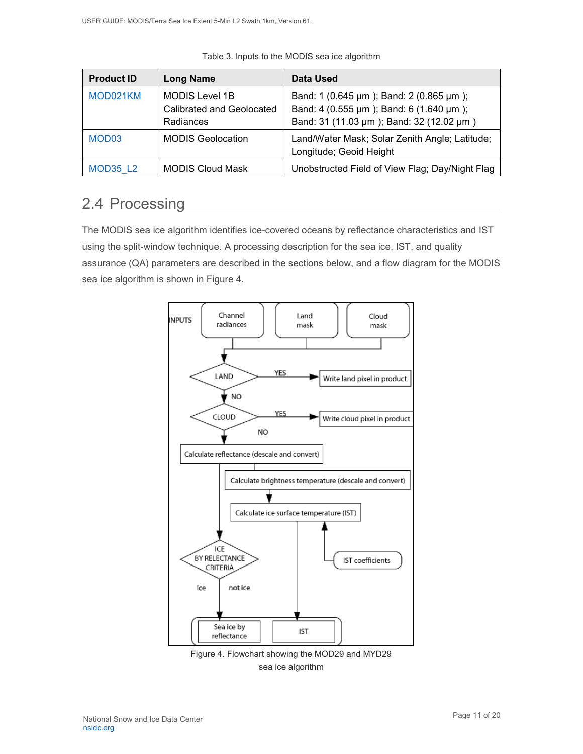| <b>Product ID</b> | <b>Long Name</b>                                                | Data Used                                                                                                                      |
|-------------------|-----------------------------------------------------------------|--------------------------------------------------------------------------------------------------------------------------------|
| MOD021KM          | <b>MODIS Level 1B</b><br>Calibrated and Geolocated<br>Radiances | Band: 1 (0.645 µm); Band: 2 (0.865 µm);<br>Band: 4 (0.555 µm); Band: 6 (1.640 µm);<br>Band: 31 (11.03 µm); Band: 32 (12.02 µm) |
| MOD <sub>03</sub> | <b>MODIS Geolocation</b>                                        | Land/Water Mask; Solar Zenith Angle; Latitude;<br>Longitude; Geoid Height                                                      |
| MOD35 L2          | <b>MODIS Cloud Mask</b>                                         | Unobstructed Field of View Flag; Day/Night Flag                                                                                |

Table 3. Inputs to the MODIS sea ice algorithm

## <span id="page-11-0"></span>2.4 Processing

The MODIS sea ice algorithm identifies ice-covered oceans by reflectance characteristics and IST using the split-window technique. A processing description for the sea ice, IST, and quality assurance (QA) parameters are described in the sections below, and a flow diagram for the MODIS sea ice algorithm is shown in Figure 4.



Figure 4. Flowchart showing the MOD29 and MYD29 sea ice algorithm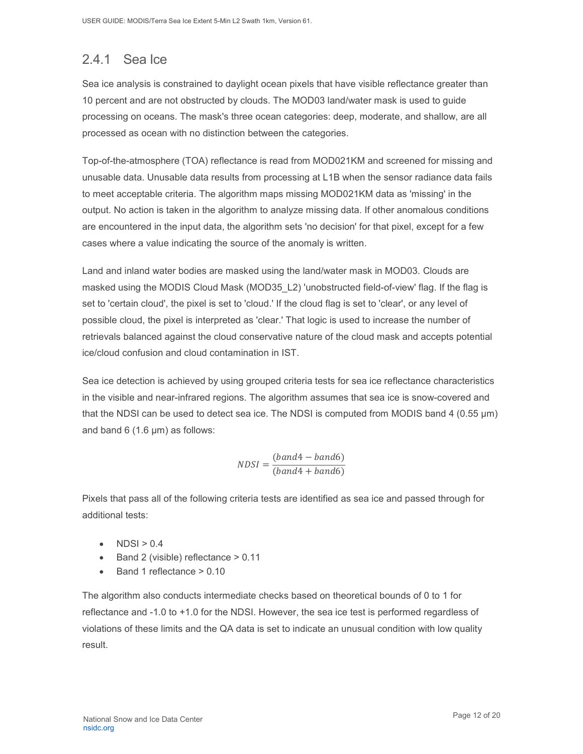# <span id="page-12-0"></span>2.4.1 Sea Ice

Sea ice analysis is constrained to daylight ocean pixels that have visible reflectance greater than 10 percent and are not obstructed by clouds. The MOD03 land/water mask is used to guide processing on oceans. The mask's three ocean categories: deep, moderate, and shallow, are all processed as ocean with no distinction between the categories.

Top-of-the-atmosphere (TOA) reflectance is read from MOD021KM and screened for missing and unusable data. Unusable data results from processing at L1B when the sensor radiance data fails to meet acceptable criteria. The algorithm maps missing MOD021KM data as 'missing' in the output. No action is taken in the algorithm to analyze missing data. If other anomalous conditions are encountered in the input data, the algorithm sets 'no decision' for that pixel, except for a few cases where a value indicating the source of the anomaly is written.

Land and inland water bodies are masked using the land/water mask in MOD03. Clouds are masked using the MODIS Cloud Mask (MOD35\_L2) 'unobstructed field-of-view' flag. If the flag is set to 'certain cloud', the pixel is set to 'cloud.' If the cloud flag is set to 'clear', or any level of possible cloud, the pixel is interpreted as 'clear.' That logic is used to increase the number of retrievals balanced against the cloud conservative nature of the cloud mask and accepts potential ice/cloud confusion and cloud contamination in IST.

Sea ice detection is achieved by using grouped criteria tests for sea ice reflectance characteristics in the visible and near-infrared regions. The algorithm assumes that sea ice is snow-covered and that the NDSI can be used to detect sea ice. The NDSI is computed from MODIS band 4 (0.55 µm) and band 6 (1.6 µm) as follows:

$$
NDSI = \frac{(band4 - band6)}{(band4 + band6)}
$$

Pixels that pass all of the following criteria tests are identified as sea ice and passed through for additional tests:

- $NDSI > 0.4$
- Band 2 (visible) reflectance > 0.11
- Band 1 reflectance > 0.10

The algorithm also conducts intermediate checks based on theoretical bounds of 0 to 1 for reflectance and -1.0 to +1.0 for the NDSI. However, the sea ice test is performed regardless of violations of these limits and the QA data is set to indicate an unusual condition with low quality result.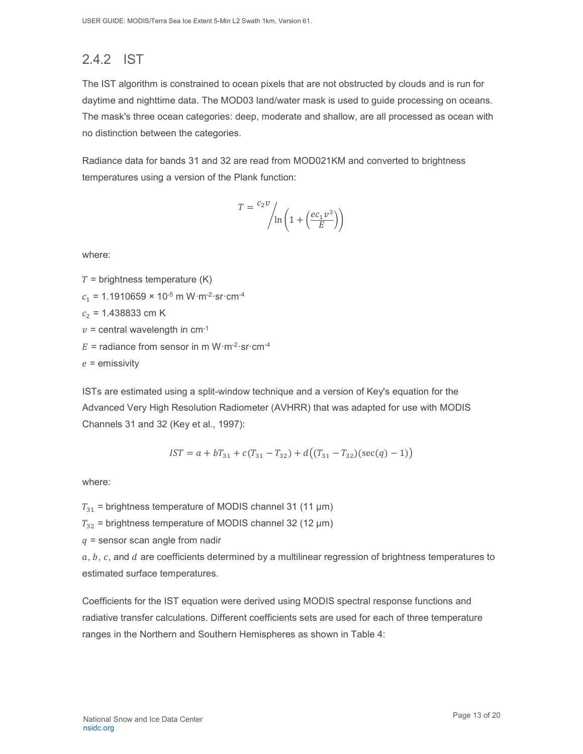# <span id="page-13-0"></span>2.4.2 IST

The IST algorithm is constrained to ocean pixels that are not obstructed by clouds and is run for daytime and nighttime data. The MOD03 land/water mask is used to guide processing on oceans. The mask's three ocean categories: deep, moderate and shallow, are all processed as ocean with no distinction between the categories.

Radiance data for bands 31 and 32 are read from MOD021KM and converted to brightness temperatures using a version of the Plank function:

$$
T = \frac{c_2 v}{\ln\left(1 + \left(\frac{e c_1 v^3}{E}\right)\right)}
$$

where:

 $T =$  brightness temperature (K)

 $c_1$  = 1.1910659 × 10<sup>-5</sup> m W·m<sup>-2</sup>·sr·cm<sup>-4</sup>

 $c_2$  = 1.438833 cm K

 $v =$  central wavelength in cm<sup>-1</sup>

 $E =$  radiance from sensor in m W·m<sup>-2</sup>·sr·cm<sup>-4</sup>

 $e =$  emissivity

ISTs are estimated using a split-window technique and a version of Key's equation for the Advanced Very High Resolution Radiometer (AVHRR) that was adapted for use with MODIS Channels 31 and 32 (Key et al., 1997):

$$
IST = a + bT_{31} + c(T_{31} - T_{32}) + d((T_{31} - T_{32})(sec(q) - 1))
$$

where:

 $T_{31}$  = brightness temperature of MODIS channel 31 (11 µm)

 $T_{32}$  = brightness temperature of MODIS channel 32 (12 µm)

 $q$  = sensor scan angle from nadir

 $a, b, c$ , and  $d$  are coefficients determined by a multilinear regression of brightness temperatures to estimated surface temperatures.

Coefficients for the IST equation were derived using MODIS spectral response functions and radiative transfer calculations. Different coefficients sets are used for each of three temperature ranges in the Northern and Southern Hemispheres as shown in Table 4: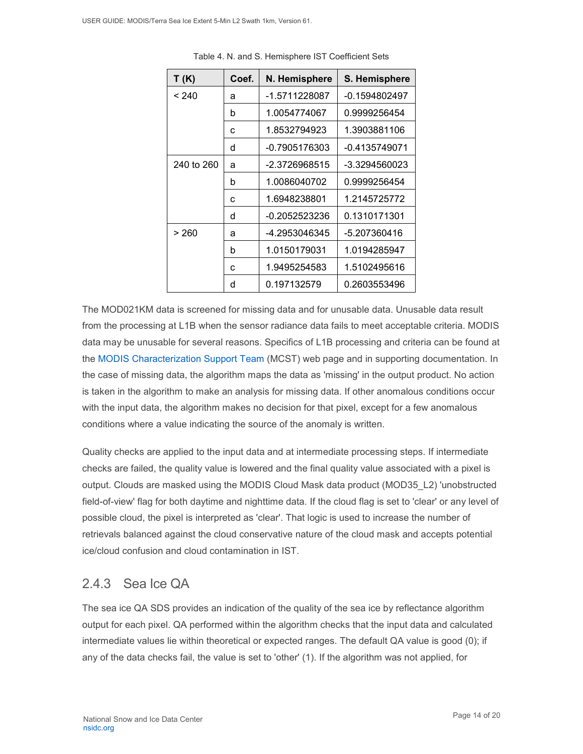| T (K)      | Coef. | N. Hemisphere | S. Hemisphere   |
|------------|-------|---------------|-----------------|
| < 240      | a     | -1.5711228087 | $-0.1594802497$ |
|            | b     | 1.0054774067  | 0.9999256454    |
|            | C     | 1.8532794923  | 1.3903881106    |
|            | d     | -0.7905176303 | -0.4135749071   |
| 240 to 260 | a     | -2.3726968515 | -3.3294560023   |
|            | b     | 1.0086040702  | 0.9999256454    |
|            | C     | 1.6948238801  | 1.2145725772    |
|            | d     | -0.2052523236 | 0.1310171301    |
| > 260      | a     | -4.2953046345 | -5.207360416    |
|            | b     | 1.0150179031  | 1.0194285947    |
|            | C     | 1.9495254583  | 1.5102495616    |
|            | d     | 0.197132579   | 0.2603553496    |

Table 4. N. and S. Hemisphere IST Coefficient Sets

The MOD021KM data is screened for missing data and for unusable data. Unusable data result from the processing at L1B when the sensor radiance data fails to meet acceptable criteria. MODIS data may be unusable for several reasons. Specifics of L1B processing and criteria can be found at the [MODIS Characterization Support Team](https://mcst.gsfc.nasa.gov/) (MCST) web page and in supporting documentation. In the case of missing data, the algorithm maps the data as 'missing' in the output product. No action is taken in the algorithm to make an analysis for missing data. If other anomalous conditions occur with the input data, the algorithm makes no decision for that pixel, except for a few anomalous conditions where a value indicating the source of the anomaly is written.

Quality checks are applied to the input data and at intermediate processing steps. If intermediate checks are failed, the quality value is lowered and the final quality value associated with a pixel is output. Clouds are masked using the MODIS Cloud Mask data product (MOD35\_L2) 'unobstructed field-of-view' flag for both daytime and nighttime data. If the cloud flag is set to 'clear' or any level of possible cloud, the pixel is interpreted as 'clear'. That logic is used to increase the number of retrievals balanced against the cloud conservative nature of the cloud mask and accepts potential ice/cloud confusion and cloud contamination in IST.

### <span id="page-14-0"></span>2.4.3 Sea Ice QA

The sea ice QA SDS provides an indication of the quality of the sea ice by reflectance algorithm output for each pixel. QA performed within the algorithm checks that the input data and calculated intermediate values lie within theoretical or expected ranges. The default QA value is good (0); if any of the data checks fail, the value is set to 'other' (1). If the algorithm was not applied, for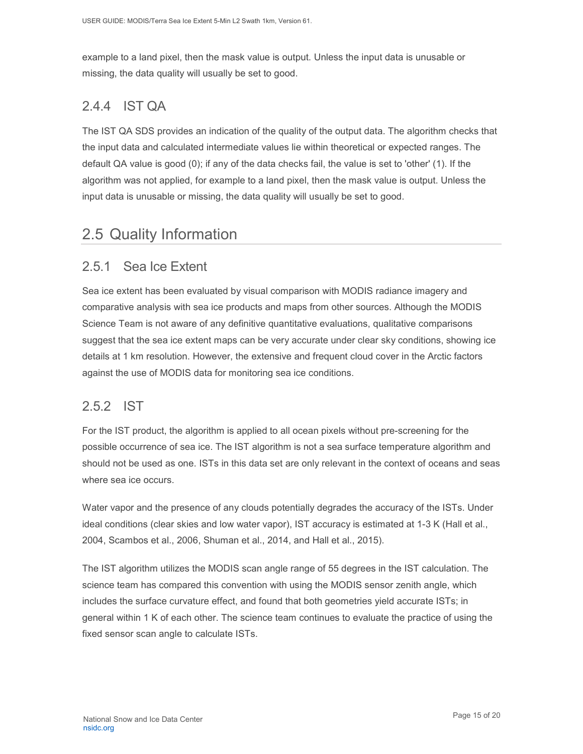example to a land pixel, then the mask value is output. Unless the input data is unusable or missing, the data quality will usually be set to good.

### <span id="page-15-0"></span>2.4.4 IST QA

The IST QA SDS provides an indication of the quality of the output data. The algorithm checks that the input data and calculated intermediate values lie within theoretical or expected ranges. The default QA value is good (0); if any of the data checks fail, the value is set to 'other' (1). If the algorithm was not applied, for example to a land pixel, then the mask value is output. Unless the input data is unusable or missing, the data quality will usually be set to good.

## <span id="page-15-1"></span>2.5 Quality Information

### <span id="page-15-2"></span>2.5.1 Sea Ice Extent

Sea ice extent has been evaluated by visual comparison with MODIS radiance imagery and comparative analysis with sea ice products and maps from other sources. Although the MODIS Science Team is not aware of any definitive quantitative evaluations, qualitative comparisons suggest that the sea ice extent maps can be very accurate under clear sky conditions, showing ice details at 1 km resolution. However, the extensive and frequent cloud cover in the Arctic factors against the use of MODIS data for monitoring sea ice conditions.

#### <span id="page-15-3"></span>2.5.2 IST

For the IST product, the algorithm is applied to all ocean pixels without pre-screening for the possible occurrence of sea ice. The IST algorithm is not a sea surface temperature algorithm and should not be used as one. ISTs in this data set are only relevant in the context of oceans and seas where sea ice occurs.

Water vapor and the presence of any clouds potentially degrades the accuracy of the ISTs. Under ideal conditions (clear skies and low water vapor), IST accuracy is estimated at 1-3 K (Hall et al., 2004, Scambos et al., 2006, Shuman et al., 2014, and Hall et al., 2015).

The IST algorithm utilizes the MODIS scan angle range of 55 degrees in the IST calculation. The science team has compared this convention with using the MODIS sensor zenith angle, which includes the surface curvature effect, and found that both geometries yield accurate ISTs; in general within 1 K of each other. The science team continues to evaluate the practice of using the fixed sensor scan angle to calculate ISTs.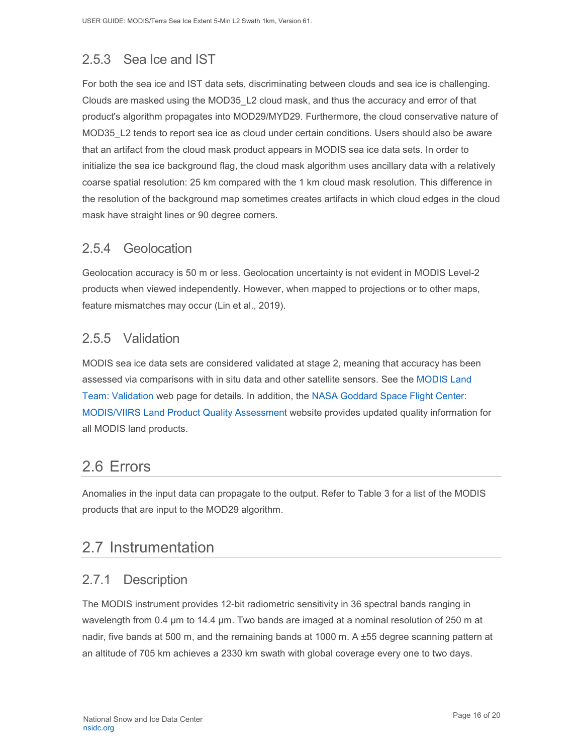## <span id="page-16-0"></span>2.5.3 Sea Ice and IST

For both the sea ice and IST data sets, discriminating between clouds and sea ice is challenging. Clouds are masked using the MOD35\_L2 cloud mask, and thus the accuracy and error of that product's algorithm propagates into MOD29/MYD29. Furthermore, the cloud conservative nature of MOD35 L2 tends to report sea ice as cloud under certain conditions. Users should also be aware that an artifact from the cloud mask product appears in MODIS sea ice data sets. In order to initialize the sea ice background flag, the cloud mask algorithm uses ancillary data with a relatively coarse spatial resolution: 25 km compared with the 1 km cloud mask resolution. This difference in the resolution of the background map sometimes creates artifacts in which cloud edges in the cloud mask have straight lines or 90 degree corners.

### <span id="page-16-1"></span>2.5.4 Geolocation

Geolocation accuracy is 50 m or less. Geolocation uncertainty is not evident in MODIS Level-2 products when viewed independently. However, when mapped to projections or to other maps, feature mismatches may occur (Lin et al., 2019).

### <span id="page-16-2"></span>2.5.5 Validation

MODIS sea ice data sets are considered validated at stage 2, meaning that accuracy has been assessed via comparisons with in situ data and other satellite sensors. See the [MODIS Land](https://modis-land.gsfc.nasa.gov/ValStatus.php?ProductID=MOD10/29)  [Team: Validation](https://modis-land.gsfc.nasa.gov/ValStatus.php?ProductID=MOD10/29) web page for details. In addition, the [NASA Goddard Space Flight Center:](https://landweb.modaps.eosdis.nasa.gov/)  MODIS/VIIRS [Land Product Quality Assessment](https://landweb.modaps.eosdis.nasa.gov/) website provides updated quality information for all MODIS land products.

# <span id="page-16-3"></span>2.6 Errors

Anomalies in the input data can propagate to the output. Refer to Table 3 for a list of the MODIS products that are input to the MOD29 algorithm.

## <span id="page-16-4"></span>2.7 Instrumentation

### <span id="page-16-5"></span>2.7.1 Description

The MODIS instrument provides 12-bit radiometric sensitivity in 36 spectral bands ranging in wavelength from 0.4 µm to 14.4 µm. Two bands are imaged at a nominal resolution of 250 m at nadir, five bands at 500 m, and the remaining bands at 1000 m. A ±55 degree scanning pattern at an altitude of 705 km achieves a 2330 km swath with global coverage every one to two days.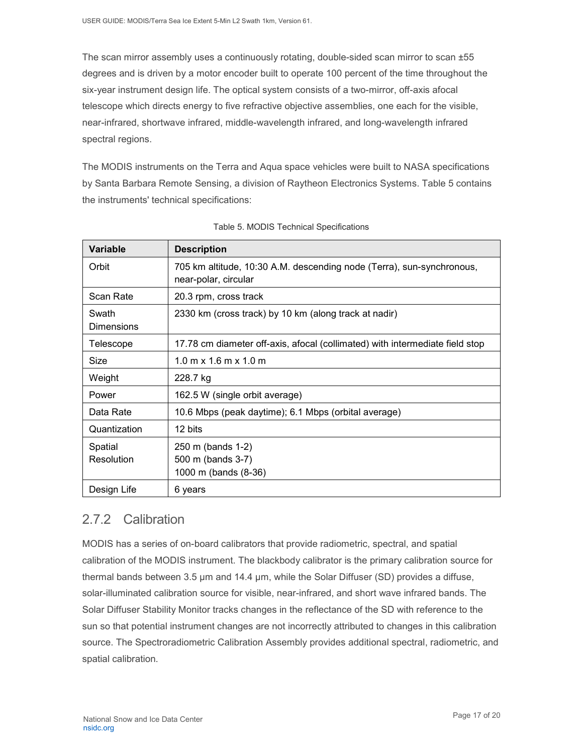The scan mirror assembly uses a continuously rotating, double-sided scan mirror to scan ±55 degrees and is driven by a motor encoder built to operate 100 percent of the time throughout the six-year instrument design life. The optical system consists of a two-mirror, off-axis afocal telescope which directs energy to five refractive objective assemblies, one each for the visible, near-infrared, shortwave infrared, middle-wavelength infrared, and long-wavelength infrared spectral regions.

The MODIS instruments on the Terra and Aqua space vehicles were built to NASA specifications by Santa Barbara Remote Sensing, a division of Raytheon Electronics Systems. Table 5 contains the instruments' technical specifications:

| Variable                   | <b>Description</b>                                                                            |
|----------------------------|-----------------------------------------------------------------------------------------------|
| Orbit                      | 705 km altitude, 10:30 A.M. descending node (Terra), sun-synchronous,<br>near-polar, circular |
| Scan Rate                  | 20.3 rpm, cross track                                                                         |
| Swath<br><b>Dimensions</b> | 2330 km (cross track) by 10 km (along track at nadir)                                         |
| Telescope                  | 17.78 cm diameter off-axis, afocal (collimated) with intermediate field stop                  |
| Size                       | $1.0 \text{ m} \times 1.6 \text{ m} \times 1.0 \text{ m}$                                     |
| Weight                     | 228.7 kg                                                                                      |
| Power                      | 162.5 W (single orbit average)                                                                |
| Data Rate                  | 10.6 Mbps (peak daytime); 6.1 Mbps (orbital average)                                          |
| Quantization               | 12 bits                                                                                       |
| Spatial<br>Resolution      | 250 m (bands 1-2)<br>500 m (bands 3-7)<br>1000 m (bands (8-36)                                |
| Design Life                | 6 years                                                                                       |

| Table 5. MODIS Technical Specifications |  |  |
|-----------------------------------------|--|--|
|-----------------------------------------|--|--|

### <span id="page-17-0"></span>2.7.2 Calibration

MODIS has a series of on-board calibrators that provide radiometric, spectral, and spatial calibration of the MODIS instrument. The blackbody calibrator is the primary calibration source for thermal bands between 3.5 µm and 14.4 µm, while the Solar Diffuser (SD) provides a diffuse, solar-illuminated calibration source for visible, near-infrared, and short wave infrared bands. The Solar Diffuser Stability Monitor tracks changes in the reflectance of the SD with reference to the sun so that potential instrument changes are not incorrectly attributed to changes in this calibration source. The Spectroradiometric Calibration Assembly provides additional spectral, radiometric, and spatial calibration.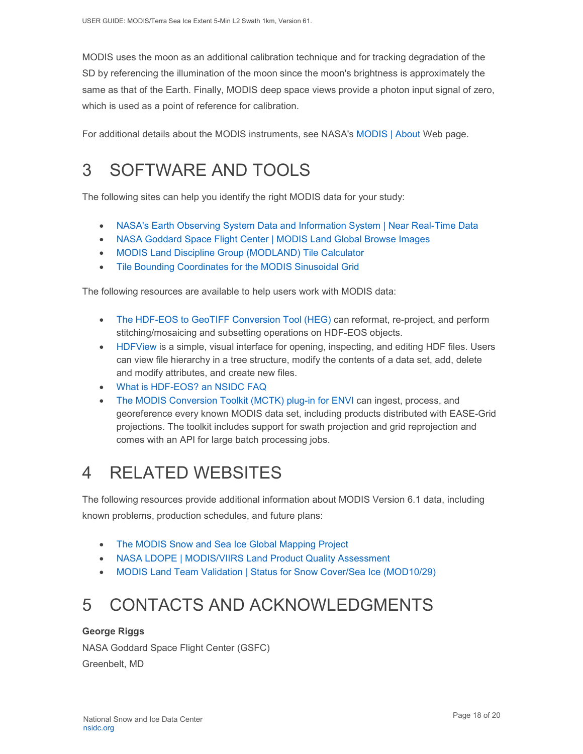MODIS uses the moon as an additional calibration technique and for tracking degradation of the SD by referencing the illumination of the moon since the moon's brightness is approximately the same as that of the Earth. Finally, MODIS deep space views provide a photon input signal of zero, which is used as a point of reference for calibration.

For additional details about the MODIS instruments, see NASA's [MODIS | About](http://modis.gsfc.nasa.gov/about/) Web page.

# <span id="page-18-0"></span>3 SOFTWARE AND TOOLS

The following sites can help you identify the right MODIS data for your study:

- [NASA's Earth Observing System Data and Information System | Near Real-Time Data](http://earthdata.nasa.gov/data/near-real-time-data/rapid-response)
- NASA [Goddard Space Flight Center | MODIS Land Global Browse Images](https://landweb.modaps.eosdis.nasa.gov/cgi-bin/browse/browseMODIS.cgi)
- [MODIS Land Discipline Group \(MODLAND\) Tile Calculator](http://landweb.nascom.nasa.gov/cgi-bin/developer/tilemap.cgi)
- [Tile Bounding Coordinates for the MODIS Sinusoidal Grid](http://modis-land.gsfc.nasa.gov/pdf/sn_bound_10deg.txt)

The following resources are available to help users work with MODIS data:

- The HDF-EOS to [GeoTIFF Conversion Tool \(HEG\)](https://wiki.earthdata.nasa.gov/display/DAS/HEG%3A++HDF-EOS+to+GeoTIFF+Conversion+Tool) can reformat, re-project, and perform stitching/mosaicing and subsetting operations on HDF-EOS objects.
- [HDFView](https://www.hdfgroup.org/downloads/hdfview/) is a simple, visual interface for opening, inspecting, and editing HDF files. Users can view file hierarchy in a tree structure, modify the contents of a data set, add, delete and modify attributes, and create new files.
- [What is HDF-EOS? an NSIDC FAQ](https://nsidc.org/support/faq/what-hdf-eos)
- [The MODIS Conversion Toolkit \(MCTK\) plug-in for ENVI](https://github.com/dawhite/MCTK) can ingest, process, and georeference every known MODIS data set, including products distributed with EASE-Grid projections. The toolkit includes support for swath projection and grid reprojection and comes with an API for large batch processing jobs.

# <span id="page-18-1"></span>4 RELATED WEBSITES

The following resources provide additional information about MODIS Version 6.1 data, including known problems, production schedules, and future plans:

- [The MODIS Snow and Sea Ice Global Mapping Project](http://modis-snow-ice.gsfc.nasa.gov/)
- [NASA LDOPE | MODIS/VIIRS Land Product Quality Assessment](https://landweb.modaps.eosdis.nasa.gov/cgi-bin/QS/new/index.cgi)
- [MODIS Land Team Validation | Status for Snow Cover/Sea Ice \(MOD10/29\)](https://modis-land.gsfc.nasa.gov/ValStatus.php?ProductID=MOD10/29)

# <span id="page-18-2"></span>5 CONTACTS AND ACKNOWLEDGMENTS

#### **George Riggs**

NASA Goddard Space Flight Center (GSFC) Greenbelt, MD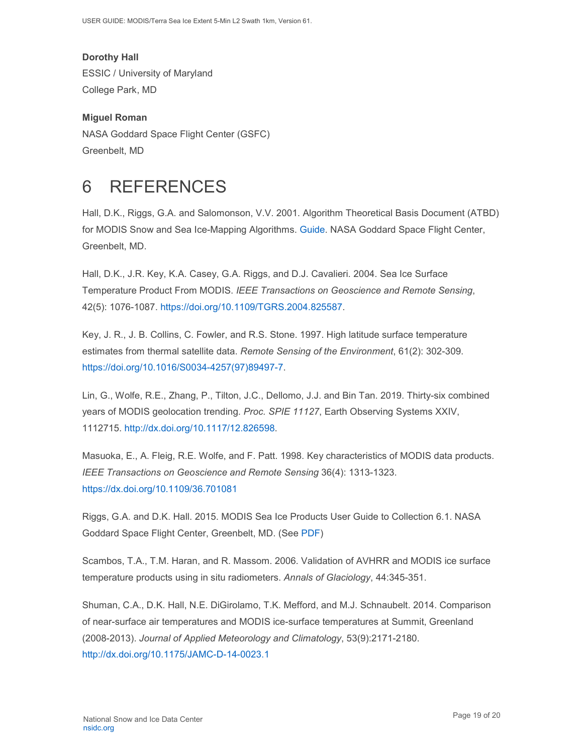USER GUIDE: MODIS/Terra Sea Ice Extent 5-Min L2 Swath 1km, Version 61.

**Dorothy Hall**  ESSIC / University of Maryland College Park, MD

**Miguel Roman**  NASA Goddard Space Flight Center (GSFC) Greenbelt, MD

# <span id="page-19-0"></span>6 REFERENCES

Hall, D.K., Riggs, G.A. and Salomonson, V.V. 2001. Algorithm Theoretical Basis Document (ATBD) for MODIS Snow and Sea Ice-Mapping Algorithms. [Guide.](https://modis-snow-ice.gsfc.nasa.gov/?c=atbd) NASA Goddard Space Flight Center, Greenbelt, MD.

Hall, D.K., J.R. Key, K.A. Casey, G.A. Riggs, and D.J. Cavalieri. 2004. Sea Ice Surface Temperature Product From MODIS. *IEEE Transactions on Geoscience and Remote Sensing*, 42(5): 1076-1087. [https://doi.org/10.1109/TGRS.2004.825587.](https://doi.org/10.1109/TGRS.2004.825587)

Key, J. R., J. B. Collins, C. Fowler, and R.S. Stone. 1997. High latitude surface temperature estimates from thermal satellite data. *Remote Sensing of the Environment*, 61(2): 302-309. [https://doi.org/10.1016/S0034-4257\(97\)89497-7.](https://doi.org/10.1016/S0034-4257(97)89497-7)

Lin, G., Wolfe, R.E., Zhang, P., Tilton, J.C., Dellomo, J.J. and Bin Tan. 2019. Thirty-six combined years of MODIS geolocation trending. *Proc. SPIE 11127*, Earth Observing Systems XXIV, 1112715. [http://dx.doi.org/10.1117/12.826598.](http://dx.doi.org/10.1117/12.826598)

Masuoka, E., A. Fleig, R.E. Wolfe, and F. Patt. 1998. Key characteristics of MODIS data products. *IEEE Transactions on Geoscience and Remote Sensing* 36(4): 1313-1323. <https://dx.doi.org/10.1109/36.701081>

Riggs, G.A. and D.K. Hall. 2015. MODIS Sea Ice Products User Guide to Collection 6.1. NASA Goddard Space Flight Center, Greenbelt, MD. (See [PDF\)](https://nsidc.org/sites/nsidc.org/files/technical-references/MOD29_C61_UserGuide.pdf)

Scambos, T.A., T.M. Haran, and R. Massom. 2006. Validation of AVHRR and MODIS ice surface temperature products using in situ radiometers. *Annals of Glaciology*, 44:345-351.

Shuman, C.A., D.K. Hall, N.E. DiGirolamo, T.K. Mefford, and M.J. Schnaubelt. 2014. Comparison of near-surface air temperatures and MODIS ice-surface temperatures at Summit, Greenland (2008-2013). *Journal of Applied Meteorology and Climatology*, 53(9):2171-2180. <http://dx.doi.org/10.1175/JAMC-D-14-0023.1>